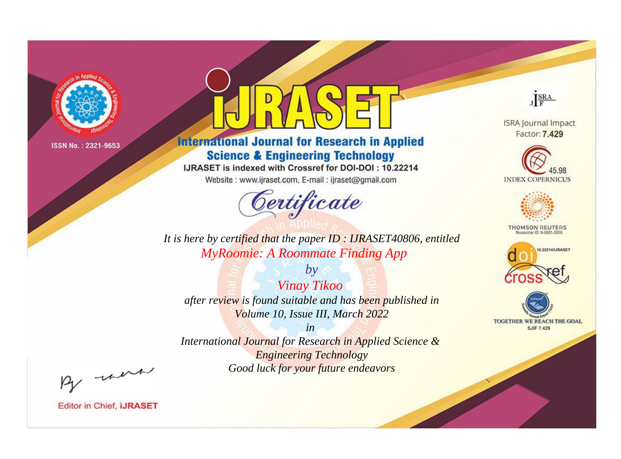

# **International Journal for Research in Applied Science & Engineering Technology**

IJRASET is indexed with Crossref for DOI-DOI: 10.22214

Website: www.ijraset.com, E-mail: ijraset@gmail.com



JERA

**ISRA Journal Impact** Factor: 7.429





**THOMSON REUTERS** 



TOGETHER WE REACH THE GOAL **SJIF 7.429** 

*It is here by certified that the paper ID : IJRASET40806, entitled MyRoomie: A Roommate Finding App*

*by Vinay Tikoo after review is found suitable and has been published in Volume 10, Issue III, March 2022*

*in* 

*International Journal for Research in Applied Science & Engineering Technology Good luck for your future endeavors*

By morn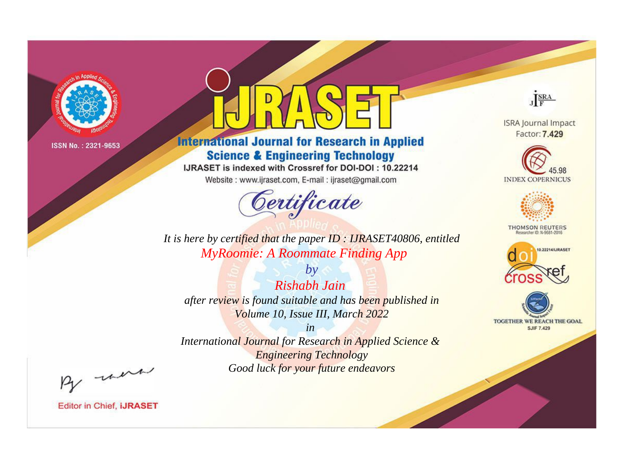

# **International Journal for Research in Applied Science & Engineering Technology**

IJRASET is indexed with Crossref for DOI-DOI: 10.22214

Website: www.ijraset.com, E-mail: ijraset@gmail.com



JERA

**ISRA Journal Impact** Factor: 7.429





**THOMSON REUTERS** 



TOGETHER WE REACH THE GOAL **SJIF 7.429** 

It is here by certified that the paper ID: IJRASET40806, entitled **MyRoomie: A Roommate Finding App** 

 $by$ Rishabh Jain after review is found suitable and has been published in Volume 10, Issue III, March 2022

 $in$ International Journal for Research in Applied Science & **Engineering Technology** Good luck for your future endeavors

By morn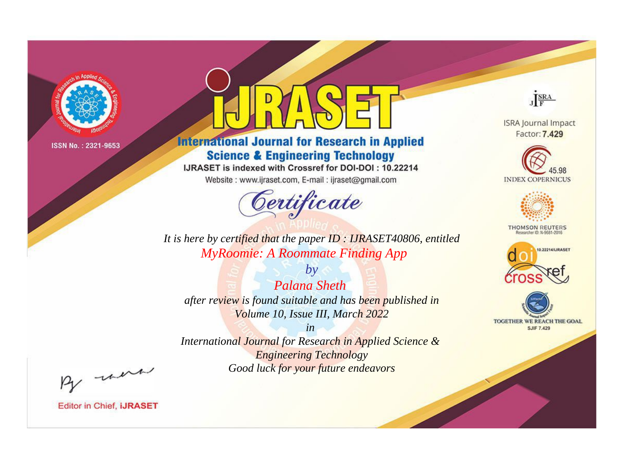

# **International Journal for Research in Applied Science & Engineering Technology**

IJRASET is indexed with Crossref for DOI-DOI: 10.22214

Website: www.ijraset.com, E-mail: ijraset@gmail.com



JERA

**ISRA Journal Impact** Factor: 7.429





**THOMSON REUTERS** 



TOGETHER WE REACH THE GOAL **SJIF 7.429** 

It is here by certified that the paper ID: IJRASET40806, entitled **MyRoomie: A Roommate Finding App** 

 $b\nu$ **Palana Sheth** after review is found suitable and has been published in Volume 10, Issue III, March 2022

 $in$ International Journal for Research in Applied Science & **Engineering Technology** Good luck for your future endeavors

By morn